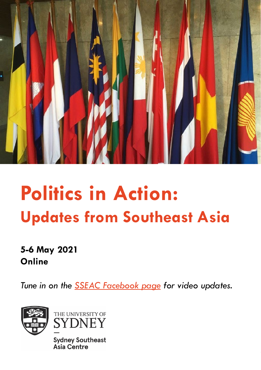

# **Politics in Action: Updates from Southeast Asia**

## **5-6 May 2021 Online**

*Tune in on the [SSEAC Facebook page](https://www.facebook.com/sydneysoutheastasiacentre/) for video updates.*





**Sydney Southeast Asia Centre**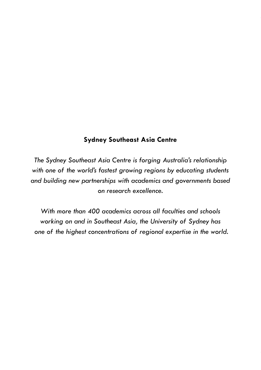#### **Sydney Southeast Asia Centre**

*The Sydney Southeast Asia Centre is forging Australia's relationship with one of the world's fastest growing regions by educating students and building new partnerships with academics and governments based on research excellence.* 

*With more than 400 academics across all faculties and schools working on and in Southeast Asia, the University of Sydney has one of the highest concentrations of regional expertise in the world.*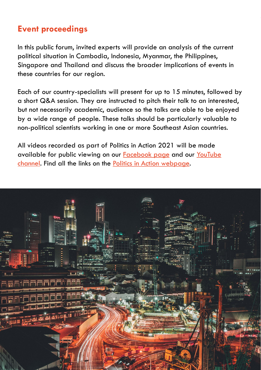## **Event proceedings**

In this public forum, invited experts will provide an analysis of the current political situation in Cambodia, Indonesia, Myanmar, the Philippines, Singapore and Thailand and discuss the broader implications of events in these countries for our region.

Each of our country-specialists will present for up to 15 minutes, followed by a short Q&A session. They are instructed to pitch their talk to an interested, but not necessarily academic, audience so the talks are able to be enjoyed by a wide range of people. These talks should be particularly valuable to non-political scientists working in one or more Southeast Asian countries.

All videos recorded as part of Politics in Action 2021 will be made available for public viewing on our [Facebook page](https://www.facebook.com/sydneysoutheastasiacentre/) and our YouTube channel. [Find all the links on the Politics in Action webpage.](https://www.youtube.com/channel/UC8Ywbmz8Yq-bKtJR7KdNjkw?view_as=subscriber)

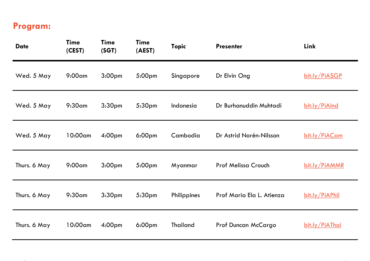## **Program:**

| <b>Date</b>  | <b>Time</b><br>(CEST) | <b>Time</b><br>(SGT) | Time<br>(AEST)     | <b>Topic</b>    | <b>Presenter</b>          | Link           |
|--------------|-----------------------|----------------------|--------------------|-----------------|---------------------------|----------------|
| Wed. 5 May   | $9:00$ am             | 3:00 <sub>pm</sub>   | 5:00pm             | Singapore       | Dr Elvin Ong              | bit.ly/PiASGP  |
| Wed. 5 May   | $9:30$ am             | 3:30 <sub>pm</sub>   | 5:30pm             | Indonesia       | Dr Burhanuddin Muhtadi    | bit.ly/PiAInd  |
| Wed. 5 May   | 10:00am               | 4:00pm               | 6:00 <sub>pm</sub> | Cambodia        | Dr Astrid Norén-Nilsson   | bit.ly/PiACam  |
| Thurs. 6 May | $9:00$ am             | 3:00 <sub>pm</sub>   | 5:00pm             | Myanmar         | Prof Melissa Crouch       | bit.ly/PiAMMR  |
| Thurs. 6 May | $9:30$ am             | 3:30 <sub>pm</sub>   | 5:30pm             | Philippines     | Prof Maria Ela L. Atienza | bit.ly/PiAPhil |
| Thurs. 6 May | 10:00am               | 4:00 <sub>pm</sub>   | 6:00 <sub>pm</sub> | <b>Thailand</b> | Prof Duncan McCargo       | bit.ly/PiAThai |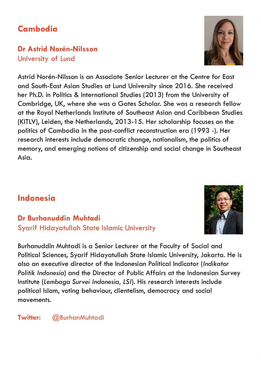## **Cambodia**

## **Dr Astrid Norén-Nilsson** University of Lund

Astrid Norén-Nilsson is an Associate Senior Lecturer at the Centre for East and South-East Asian Studies at Lund University since 2016. She received her Ph.D. in Politics & International Studies (2013) from the University of Cambridge, UK, where she was a Gates Scholar. She was a research fellow at the Royal Netherlands Institute of Southeast Asian and Caribbean Studies (KITLV), Leiden, the Netherlands, 2013-15. Her scholarship focuses on the politics of Cambodia in the post-conflict reconstruction era (1993 -). Her research interests include democratic change, nationalism, the politics of memory, and emerging notions of citizenship and social change in Southeast Asia.

## **Indonesia**

### **Dr Burhanuddin Muhtadi** Syarif Hidayatullah State Islamic University

Burhanuddin Muhtadi is a Senior Lecturer at the Faculty of Social and Political Sciences, Syarif Hidayatullah State Islamic University, Jakarta. He is also an executive director of the Indonesian Political Indicator (*Indikator Politik Indonesia*) and the Director of Public Affairs at the Indonesian Survey Institute (*Lembaga Survei Indonesia, LSI*). His research interests include political Islam, voting behaviour, clientelism, democracy and social movements.

#### **Twitter:** @BurhanMuhtadi



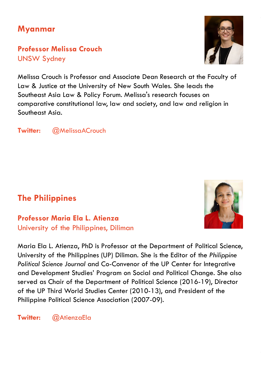## **Myanmar**

**Professor Melissa Crouch** UNSW Sydney

Melissa Crouch is Professor and Associate Dean Research at the Faculty of Law & Justice at the University of New South Wales. She leads the Southeast Asia Law & Policy Forum. Melissa's research focuses on comparative constitutional law, law and society, and law and religion in Southeast Asia.

**Twitter:** @MelissaACrouch

## **The Philippines**

#### **Professor Maria Ela L. Atienza** University of the Philippines, Diliman

Maria Ela L. Atienza, PhD is Professor at the Department of Political Science, University of the Philippines (UP) Diliman. She is the Editor of the *Philippine Political Science Journal* and Co-Convenor of the UP Center for Integrative and Development Studies' Program on Social and Political Change. She also served as Chair of the Department of Political Science (2016-19), Director of the UP Third World Studies Center (2010-13), and President of the Philippine Political Science Association (2007-09).

**Twitter:** @AtienzaEla



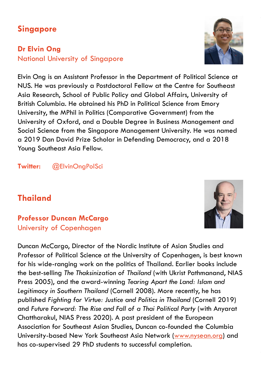## **Singapore**

### **Dr Elvin Ong** National University of Singapore

Elvin Ong is an Assistant Professor in the Department of Political Science at NUS. He was previously a Postdoctoral Fellow at the Centre for Southeast Asia Research, School of Public Policy and Global Affairs, University of British Columbia. He obtained his PhD in Political Science from Emory University, the MPhil in Politics (Comparative Government) from the University of Oxford, and a Double Degree in Business Management and Social Science from the Singapore Management University. He was named a 2019 Dan David Prize Scholar in Defending Democracy, and a 2018 Young Southeast Asia Fellow.

#### **Twitter:** @ElvinOngPolSci

## **Thailand**

### **Professor Duncan McCargo** University of Copenhagen

Duncan McCargo, Director of the Nordic Institute of Asian Studies and Professor of Political Science at the University of Copenhagen, is best known for his wide-ranging work on the politics of Thailand. Earlier books include the best-selling *The Thaksinization of Thailand* (with Ukrist Pathmanand, NIAS Press 2005), and the award-winning *Tearing Apart the Land: Islam and Legitimacy in Southern Thailand* (Cornell 2008). More recently, he has published *Fighting for Virtue: Justice and Politics in Thailand* (Cornell 2019) and *Future Forward: The Rise and Fall of a Thai Political Party* (with Anyarat Chattharakul, NIAS Press 2020). A past president of the European Association for Southeast Asian Studies, Duncan co-founded the Columbia University-based New York Southeast Asia Network [\(www.nysean.org\)](http://www.nysean.org/) and has co-supervised 29 PhD students to successful completion.